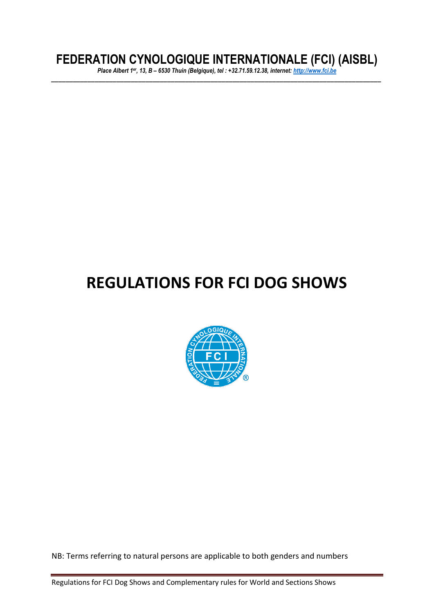# **FEDERATION CYNOLOGIQUE INTERNATIONALE (FCI) (AISBL)**

*Place Albert 1er, 13, B – 6530 Thuin (Belgique), tel : +32.71.59.12.38, internet[: http://www.fci.be](http://www.fci.be/) \_\_\_\_\_\_\_\_\_\_\_\_\_\_\_\_\_\_\_\_\_\_\_\_\_\_\_\_\_\_\_\_\_\_\_\_\_\_\_\_\_\_\_\_\_\_\_\_\_\_\_\_\_\_\_\_\_\_\_\_\_\_\_\_\_\_\_\_\_\_\_\_\_\_\_\_\_\_\_\_\_\_\_\_\_\_\_\_\_\_\_*

# **REGULATIONS FOR FCI DOG SHOWS**



NB: Terms referring to natural persons are applicable to both genders and numbers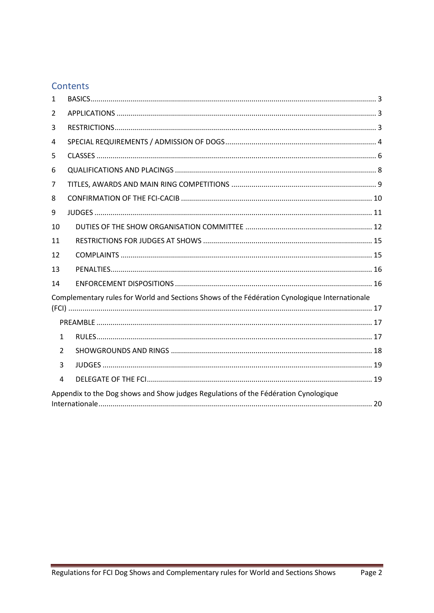### Contents

| 1             |                                                                                               |  |
|---------------|-----------------------------------------------------------------------------------------------|--|
| 2             |                                                                                               |  |
| 3             |                                                                                               |  |
| 4             |                                                                                               |  |
| 5             |                                                                                               |  |
| 6             |                                                                                               |  |
| 7             |                                                                                               |  |
| 8             |                                                                                               |  |
| 9             |                                                                                               |  |
| 10            |                                                                                               |  |
| 11            |                                                                                               |  |
| 12            |                                                                                               |  |
| 13            |                                                                                               |  |
| 14            |                                                                                               |  |
|               | Complementary rules for World and Sections Shows of the Fédération Cynologique Internationale |  |
|               |                                                                                               |  |
|               |                                                                                               |  |
| 1             |                                                                                               |  |
| $\mathcal{L}$ |                                                                                               |  |
| 3             |                                                                                               |  |
| 4             |                                                                                               |  |
|               | Appendix to the Dog shows and Show judges Regulations of the Fédération Cynologique           |  |
|               |                                                                                               |  |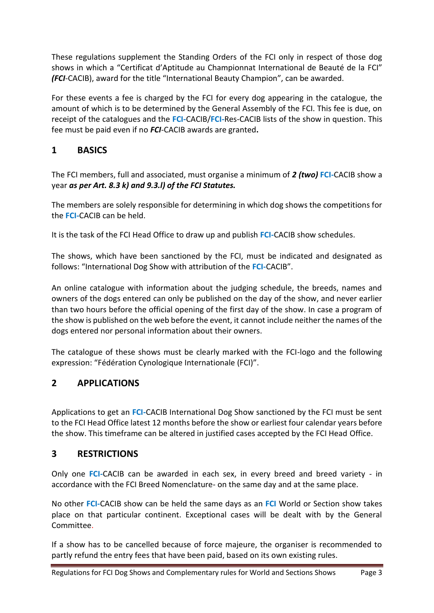These regulations supplement the Standing Orders of the FCI only in respect of those dog shows in which a "Certificat d'Aptitude au Championnat International de Beauté de la FCI" *(FCI*-CACIB), award for the title "International Beauty Champion", can be awarded.

For these events a fee is charged by the FCI for every dog appearing in the catalogue, the amount of which is to be determined by the General Assembly of the FCI. This fee is due, on receipt of the catalogues and the **FCI***-*CACIB/**FCI***-*Res-CACIB lists of the show in question. This fee must be paid even if no *FCI*-CACIB awards are granted**.** 

### <span id="page-2-0"></span>**1 BASICS**

The FCI members, full and associated, must organise a minimum of *2 (two)* **FCI***-*CACIB show a year *as per Art. 8.3 k) and 9.3.l) of the FCI Statutes.*

The members are solely responsible for determining in which dog shows the competitions for the **FCI***-*CACIB can be held.

It is the task of the FCI Head Office to draw up and publish **FCI***-*CACIB show schedules.

The shows, which have been sanctioned by the FCI, must be indicated and designated as follows: "International Dog Show with attribution of the **FCI-**CACIB".

An online catalogue with information about the judging schedule, the breeds, names and owners of the dogs entered can only be published on the day of the show, and never earlier than two hours before the official opening of the first day of the show. In case a program of the show is published on the web before the event, it cannot include neither the names of the dogs entered nor personal information about their owners.

The catalogue of these shows must be clearly marked with the FCI-logo and the following expression: "Fédération Cynologique Internationale (FCI)".

### <span id="page-2-1"></span>**2 APPLICATIONS**

Applications to get an **FCI***-*CACIB International Dog Show sanctioned by the FCI must be sent to the FCI Head Office latest 12 months before the show or earliest four calendar years before the show. This timeframe can be altered in justified cases accepted by the FCI Head Office.

### <span id="page-2-2"></span>**3 RESTRICTIONS**

Only one **FCI***-*CACIB can be awarded in each sex, in every breed and breed variety - in accordance with the FCI Breed Nomenclature- on the same day and at the same place.

No other **FCI***-*CACIB show can be held the same days as an **FCI** World or Section show takes place on that particular continent. Exceptional cases will be dealt with by the General Committee.

If a show has to be cancelled because of force majeure, the organiser is recommended to partly refund the entry fees that have been paid, based on its own existing rules.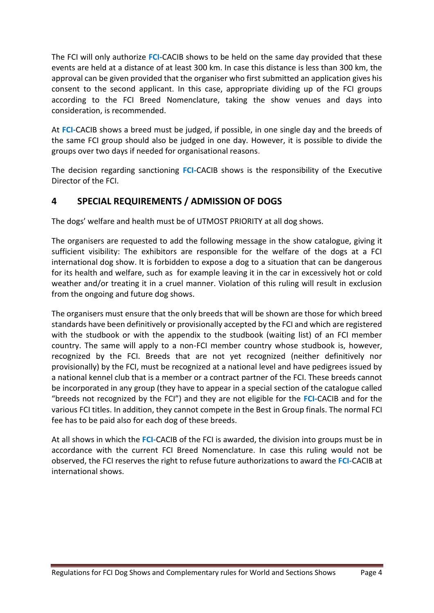The FCI will only authorize **FCI***-*CACIB shows to be held on the same day provided that these events are held at a distance of at least 300 km. In case this distance is less than 300 km, the approval can be given provided that the organiser who first submitted an application gives his consent to the second applicant. In this case, appropriate dividing up of the FCI groups according to the FCI Breed Nomenclature, taking the show venues and days into consideration, is recommended.

At **FCI***-*CACIB shows a breed must be judged, if possible, in one single day and the breeds of the same FCI group should also be judged in one day. However, it is possible to divide the groups over two days if needed for organisational reasons.

The decision regarding sanctioning **FCI***-*CACIB shows is the responsibility of the Executive Director of the FCI.

### <span id="page-3-0"></span>**4 SPECIAL REQUIREMENTS / ADMISSION OF DOGS**

The dogs' welfare and health must be of UTMOST PRIORITY at all dog shows.

The organisers are requested to add the following message in the show catalogue, giving it sufficient visibility: The exhibitors are responsible for the welfare of the dogs at a FCI international dog show. It is forbidden to expose a dog to a situation that can be dangerous for its health and welfare, such as for example leaving it in the car in excessively hot or cold weather and/or treating it in a cruel manner. Violation of this ruling will result in exclusion from the ongoing and future dog shows.

The organisers must ensure that the only breeds that will be shown are those for which breed standards have been definitively or provisionally accepted by the FCI and which are registered with the studbook or with the appendix to the studbook (waiting list) of an FCI member country. The same will apply to a non-FCI member country whose studbook is, however, recognized by the FCI. Breeds that are not yet recognized (neither definitively nor provisionally) by the FCI, must be recognized at a national level and have pedigrees issued by a national kennel club that is a member or a contract partner of the FCI. These breeds cannot be incorporated in any group (they have to appear in a special section of the catalogue called "breeds not recognized by the FCI") and they are not eligible for the **FCI***-*CACIB and for the various FCI titles. In addition, they cannot compete in the Best in Group finals. The normal FCI fee has to be paid also for each dog of these breeds.

At all shows in which the **FCI***-*CACIB of the FCI is awarded, the division into groups must be in accordance with the current FCI Breed Nomenclature. In case this ruling would not be observed, the FCI reserves the right to refuse future authorizations to award the **FCI***-*CACIB at international shows.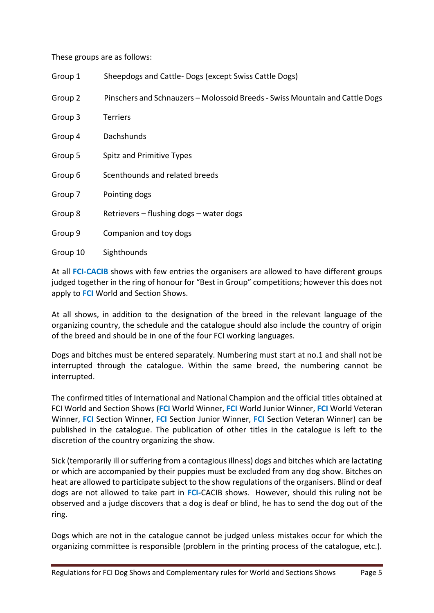These groups are as follows:

| Group 1  | Sheepdogs and Cattle-Dogs (except Swiss Cattle Dogs)                         |
|----------|------------------------------------------------------------------------------|
| Group 2  | Pinschers and Schnauzers - Molossoid Breeds - Swiss Mountain and Cattle Dogs |
| Group 3  | <b>Terriers</b>                                                              |
| Group 4  | Dachshunds                                                                   |
| Group 5  | Spitz and Primitive Types                                                    |
| Group 6  | Scenthounds and related breeds                                               |
| Group 7  | Pointing dogs                                                                |
| Group 8  | Retrievers – flushing dogs – water dogs                                      |
| Group 9  | Companion and toy dogs                                                       |
| Group 10 | Sighthounds                                                                  |

At all **FCI-CACIB** shows with few entries the organisers are allowed to have different groups judged together in the ring of honour for "Best in Group" competitions; however this does not apply to **FCI** World and Section Shows.

At all shows, in addition to the designation of the breed in the relevant language of the organizing country, the schedule and the catalogue should also include the country of origin of the breed and should be in one of the four FCI working languages.

Dogs and bitches must be entered separately. Numbering must start at no.1 and shall not be interrupted through the catalogue. Within the same breed, the numbering cannot be interrupted.

The confirmed titles of International and National Champion and the official titles obtained at FCI World and Section Shows (**FCI** World Winner, **FCI** World Junior Winner, **FCI** World Veteran Winner, **FCI** Section Winner, **FCI** Section Junior Winner, **FCI** Section Veteran Winner) can be published in the catalogue. The publication of other titles in the catalogue is left to the discretion of the country organizing the show.

Sick (temporarily ill or suffering from a contagious illness) dogs and bitches which are lactating or which are accompanied by their puppies must be excluded from any dog show. Bitches on heat are allowed to participate subject to the show regulations of the organisers. Blind or deaf dogs are not allowed to take part in **FCI***-*CACIB shows. However, should this ruling not be observed and a judge discovers that a dog is deaf or blind, he has to send the dog out of the ring.

Dogs which are not in the catalogue cannot be judged unless mistakes occur for which the organizing committee is responsible (problem in the printing process of the catalogue, etc.).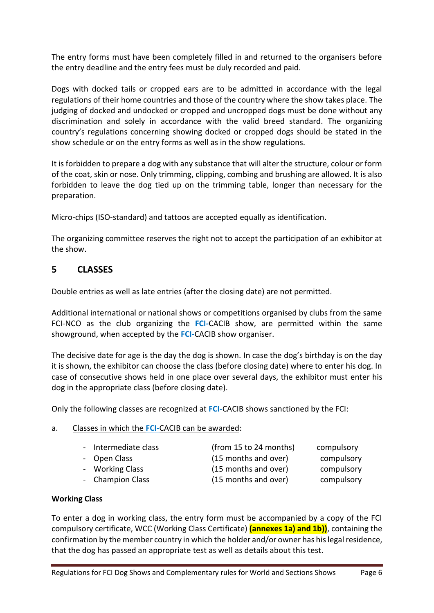The entry forms must have been completely filled in and returned to the organisers before the entry deadline and the entry fees must be duly recorded and paid.

Dogs with docked tails or cropped ears are to be admitted in accordance with the legal regulations of their home countries and those of the country where the show takes place. The judging of docked and undocked or cropped and uncropped dogs must be done without any discrimination and solely in accordance with the valid breed standard*.* The organizing country's regulations concerning showing docked or cropped dogs should be stated in the show schedule or on the entry forms as well as in the show regulations.

It is forbidden to prepare a dog with any substance that will alter the structure, colour or form of the coat, skin or nose. Only trimming, clipping, combing and brushing are allowed. It is also forbidden to leave the dog tied up on the trimming table, longer than necessary for the preparation.

Micro-chips (ISO-standard) and tattoos are accepted equally as identification.

The organizing committee reserves the right not to accept the participation of an exhibitor at the show.

### <span id="page-5-0"></span>**5 CLASSES**

Double entries as well as late entries (after the closing date) are not permitted.

Additional international or national shows or competitions organised by clubs from the same FCI-NCO as the club organizing the **FCI***-*CACIB show, are permitted within the same showground, when accepted by the **FCI***-*CACIB show organiser.

The decisive date for age is the day the dog is shown. In case the dog's birthday is on the day it is shown, the exhibitor can choose the class (before closing date) where to enter his dog. In case of consecutive shows held in one place over several days, the exhibitor must enter his dog in the appropriate class (before closing date).

Only the following classes are recognized at **FCI***-*CACIB shows sanctioned by the FCI:

#### a. Classes in which the **FCI***-*CACIB can be awarded:

| - Intermediate class | (from 15 to 24 months) | compulsory |
|----------------------|------------------------|------------|
| - Open Class         | (15 months and over)   | compulsory |

- 
- Champion Class (15 months and over) compulsory
- 

- Working Class **Compulsory** (15 months and over) compulsory

### **Working Class**

To enter a dog in working class, the entry form must be accompanied by a copy of the FCI compulsory certificate, WCC (Working Class Certificate) **(annexes 1a) and 1b))**, containing the confirmation by the member country in which the holder and/or owner has his legal residence, that the dog has passed an appropriate test as well as details about this test.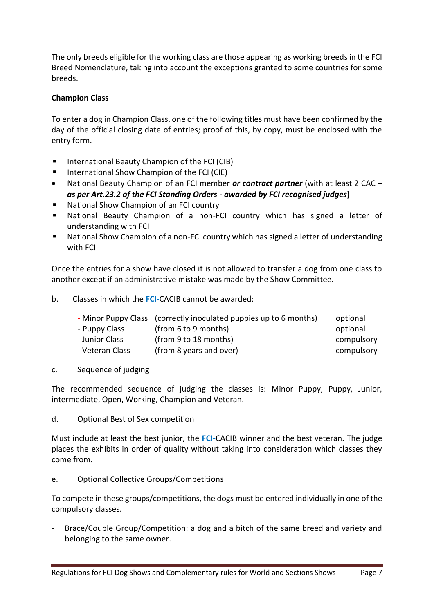The only breeds eligible for the working class are those appearing as working breeds in the FCI Breed Nomenclature, taking into account the exceptions granted to some countries for some breeds.

#### **Champion Class**

To enter a dog in Champion Class, one of the following titles must have been confirmed by the day of the official closing date of entries; proof of this, by copy, must be enclosed with the entry form.

- International Beauty Champion of the FCI (CIB)
- International Show Champion of the FCI (CIE)
- National Beauty Champion of an FCI member *or contract partner* (with at least 2 CAC **–** *as per Art.23.2 of the FCI Standing Orders - awarded by FCI recognised judges***)**
- National Show Champion of an FCI country
- National Beauty Champion of a non-FCI country which has signed a letter of understanding with FCI
- National Show Champion of a non-FCI country which has signed a letter of understanding with FCI

Once the entries for a show have closed it is not allowed to transfer a dog from one class to another except if an administrative mistake was made by the Show Committee.

b. Classes in which the **FCI***-*CACIB cannot be awarded:

|                 | - Minor Puppy Class (correctly inoculated puppies up to 6 months) | optional   |
|-----------------|-------------------------------------------------------------------|------------|
| - Puppy Class   | (from 6 to 9 months)                                              | optional   |
| - Junior Class  | (from 9 to 18 months)                                             | compulsory |
| - Veteran Class | (from 8 years and over)                                           | compulsory |

#### c. Sequence of judging

The recommended sequence of judging the classes is: Minor Puppy, Puppy, Junior, intermediate, Open, Working, Champion and Veteran.

#### d. Optional Best of Sex competition

Must include at least the best junior, the **FCI***-*CACIB winner and the best veteran. The judge places the exhibits in order of quality without taking into consideration which classes they come from.

#### e. Optional Collective Groups/Competitions

To compete in these groups/competitions, the dogs must be entered individually in one of the compulsory classes.

*-* Brace/Couple Group/Competition: a dog and a bitch of the same breed and variety and belonging to the same owner.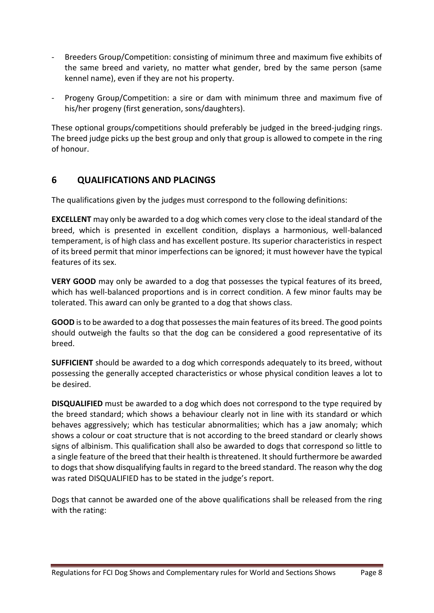- Breeders Group/Competition: consisting of minimum three and maximum five exhibits of the same breed and variety, no matter what gender, bred by the same person (same kennel name), even if they are not his property.
- Progeny Group/Competition: a sire or dam with minimum three and maximum five of his/her progeny (first generation, sons/daughters).

These optional groups/competitions should preferably be judged in the breed-judging rings. The breed judge picks up the best group and only that group is allowed to compete in the ring of honour.

### <span id="page-7-0"></span>**6 QUALIFICATIONS AND PLACINGS**

The qualifications given by the judges must correspond to the following definitions:

**EXCELLENT** may only be awarded to a dog which comes very close to the ideal standard of the breed, which is presented in excellent condition, displays a harmonious, well-balanced temperament, is of high class and has excellent posture. Its superior characteristics in respect of its breed permit that minor imperfections can be ignored; it must however have the typical features of its sex.

**VERY GOOD** may only be awarded to a dog that possesses the typical features of its breed, which has well-balanced proportions and is in correct condition. A few minor faults may be tolerated. This award can only be granted to a dog that shows class.

**GOOD** is to be awarded to a dog that possesses the main features of its breed. The good points should outweigh the faults so that the dog can be considered a good representative of its breed.

**SUFFICIENT** should be awarded to a dog which corresponds adequately to its breed, without possessing the generally accepted characteristics or whose physical condition leaves a lot to be desired.

**DISQUALIFIED** must be awarded to a dog which does not correspond to the type required by the breed standard; which shows a behaviour clearly not in line with its standard or which behaves aggressively; which has testicular abnormalities; which has a jaw anomaly; which shows a colour or coat structure that is not according to the breed standard or clearly shows signs of albinism. This qualification shall also be awarded to dogs that correspond so little to a single feature of the breed that their health is threatened. It should furthermore be awarded to dogs that show disqualifying faults in regard to the breed standard. The reason why the dog was rated DISQUALIFIED has to be stated in the judge's report.

Dogs that cannot be awarded one of the above qualifications shall be released from the ring with the rating: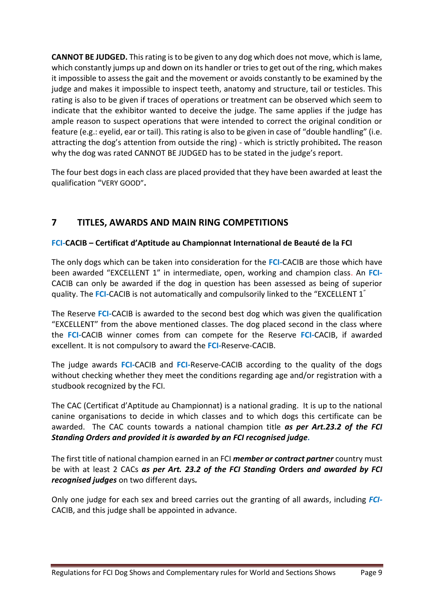**CANNOT BE JUDGED.** This rating is to be given to any dog which does not move, which is lame, which constantly jumps up and down on its handler or tries to get out of the ring, which makes it impossible to assess the gait and the movement or avoids constantly to be examined by the judge and makes it impossible to inspect teeth, anatomy and structure, tail or testicles. This rating is also to be given if traces of operations or treatment can be observed which seem to indicate that the exhibitor wanted to deceive the judge. The same applies if the judge has ample reason to suspect operations that were intended to correct the original condition or feature (e.g.: eyelid, ear or tail). This rating is also to be given in case of "double handling" (i.e. attracting the dog's attention from outside the ring) - which is strictly prohibited*.* The reason why the dog was rated CANNOT BE JUDGED has to be stated in the judge's report.

The four best dogs in each class are placed provided that they have been awarded at least the qualification "VERY GOOD"**.**

### <span id="page-8-0"></span>**7 TITLES, AWARDS AND MAIN RING COMPETITIONS**

### **FCI***-***CACIB – Certificat d'Aptitude au Championnat International de Beauté de la FCI**

The only dogs which can be taken into consideration for the **FCI***-*CACIB are those which have been awarded "EXCELLENT 1" in intermediate, open, working and champion class. An **FCI***-*CACIB can only be awarded if the dog in question has been assessed as being of superior quality. The **FCI***-*CACIB is not automatically and compulsorily linked to the "EXCELLENT 1"

The Reserve **FCI***-*CACIB is awarded to the second best dog which was given the qualification "EXCELLENT" from the above mentioned classes. The dog placed second in the class where the **FCI***-*CACIB winner comes from can compete for the Reserve **FCI***-*CACIB, if awarded excellent. It is not compulsory to award the **FCI***-*Reserve-CACIB.

The judge awards **FCI***-*CACIB and **FCI***-*Reserve-CACIB according to the quality of the dogs without checking whether they meet the conditions regarding age and/or registration with a studbook recognized by the FCI.

The CAC (Certificat d'Aptitude au Championnat) is a national grading. It is up to the national canine organisations to decide in which classes and to which dogs this certificate can be awarded. The CAC counts towards a national champion title *as per Art.23.2 of the FCI Standing Orders and provided it is awarded by an FCI recognised judge.*

The first title of national champion earned in an FCI *member or contract partner* country must be with at least 2 CACs *as per Art. 23.2 of the FCI Standing* **Orders** *and awarded by FCI recognised judges* on two different days*.* 

Only one judge for each sex and breed carries out the granting of all awards, including *FCI-*CACIB, and this judge shall be appointed in advance.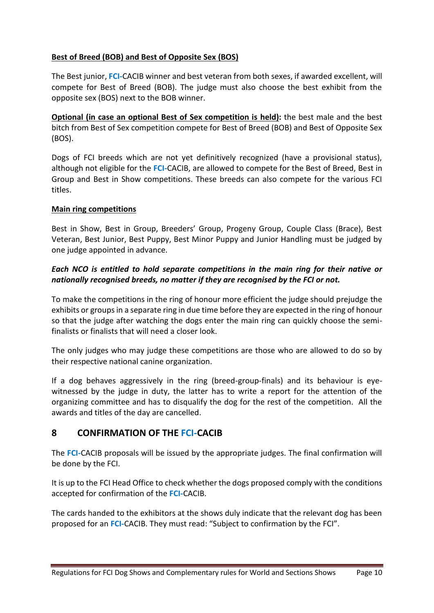#### **Best of Breed (BOB) and Best of Opposite Sex (BOS)**

The Best junior, **FCI***-*CACIB winner and best veteran from both sexes, if awarded excellent, will compete for Best of Breed (BOB). The judge must also choose the best exhibit from the opposite sex (BOS) next to the BOB winner.

**Optional (in case an optional Best of Sex competition is held):** the best male and the best bitch from Best of Sex competition compete for Best of Breed (BOB) and Best of Opposite Sex (BOS).

Dogs of FCI breeds which are not yet definitively recognized (have a provisional status), although not eligible for the **FCI***-*CACIB, are allowed to compete for the Best of Breed, Best in Group and Best in Show competitions. These breeds can also compete for the various FCI titles.

#### **Main ring competitions**

Best in Show, Best in Group, Breeders' Group, Progeny Group, Couple Class (Brace), Best Veteran, Best Junior, Best Puppy, Best Minor Puppy and Junior Handling must be judged by one judge appointed in advance.

#### *Each NCO is entitled to hold separate competitions in the main ring for their native or nationally recognised breeds, no matter if they are recognised by the FCI or not.*

To make the competitions in the ring of honour more efficient the judge should prejudge the exhibits or groups in a separate ring in due time before they are expected in the ring of honour so that the judge after watching the dogs enter the main ring can quickly choose the semifinalists or finalists that will need a closer look.

The only judges who may judge these competitions are those who are allowed to do so by their respective national canine organization.

If a dog behaves aggressively in the ring (breed-group-finals) and its behaviour is eyewitnessed by the judge in duty, the latter has to write a report for the attention of the organizing committee and has to disqualify the dog for the rest of the competition. All the awards and titles of the day are cancelled.

### <span id="page-9-0"></span>**8 CONFIRMATION OF THE FCI-CACIB**

The **FCI***-*CACIB proposals will be issued by the appropriate judges. The final confirmation will be done by the FCI.

It is up to the FCI Head Office to check whether the dogs proposed comply with the conditions accepted for confirmation of the **FCI***-*CACIB.

The cards handed to the exhibitors at the shows duly indicate that the relevant dog has been proposed for an **FCI***-*CACIB. They must read: "Subject to confirmation by the FCI".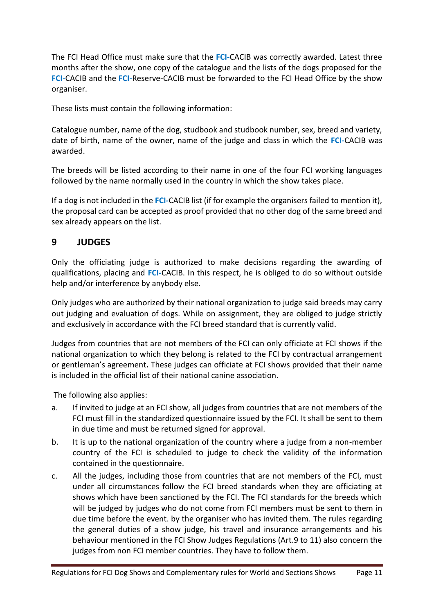The FCI Head Office must make sure that the **FCI***-*CACIB was correctly awarded. Latest three months after the show, one copy of the catalogue and the lists of the dogs proposed for the **FCI***-*CACIB and the **FCI***-*Reserve-CACIB must be forwarded to the FCI Head Office by the show organiser.

These lists must contain the following information:

Catalogue number, name of the dog, studbook and studbook number, sex, breed and variety, date of birth, name of the owner, name of the judge and class in which the **FCI***-*CACIB was awarded.

The breeds will be listed according to their name in one of the four FCI working languages followed by the name normally used in the country in which the show takes place.

If a dog is not included in the **FCI***-*CACIB list (if for example the organisers failed to mention it), the proposal card can be accepted as proof provided that no other dog of the same breed and sex already appears on the list.

### <span id="page-10-0"></span>**9 JUDGES**

Only the officiating judge is authorized to make decisions regarding the awarding of qualifications, placing and **FCI***-*CACIB. In this respect, he is obliged to do so without outside help and/or interference by anybody else.

Only judges who are authorized by their national organization to judge said breeds may carry out judging and evaluation of dogs. While on assignment, they are obliged to judge strictly and exclusively in accordance with the FCI breed standard that is currently valid.

Judges from countries that are not members of the FCI can only officiate at FCI shows if the national organization to which they belong is related to the FCI by contractual arrangement or gentleman's agreement**.** These judges can officiate at FCI shows provided that their name is included in the official list of their national canine association.

The following also applies:

- a. If invited to judge at an FCI show, all judges from countries that are not members of the FCI must fill in the standardized questionnaire issued by the FCI. It shall be sent to them in due time and must be returned signed for approval.
- b. It is up to the national organization of the country where a judge from a non-member country of the FCI is scheduled to judge to check the validity of the information contained in the questionnaire.
- c. All the judges, including those from countries that are not members of the FCI, must under all circumstances follow the FCI breed standards when they are officiating at shows which have been sanctioned by the FCI. The FCI standards for the breeds which will be judged by judges who do not come from FCI members must be sent to them in due time before the event. by the organiser who has invited them. The rules regarding the general duties of a show judge, his travel and insurance arrangements and his behaviour mentioned in the FCI Show Judges Regulations (Art.9 to 11) also concern the judges from non FCI member countries. They have to follow them.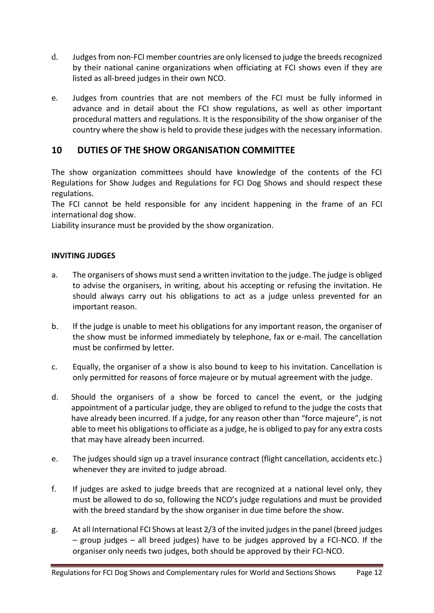- d. Judges from non-FCI member countries are only licensed to judge the breeds recognized by their national canine organizations when officiating at FCI shows even if they are listed as all-breed judges in their own NCO.
- e. Judges from countries that are not members of the FCI must be fully informed in advance and in detail about the FCI show regulations, as well as other important procedural matters and regulations. It is the responsibility of the show organiser of the country where the show is held to provide these judges with the necessary information.

### <span id="page-11-0"></span>**10 DUTIES OF THE SHOW ORGANISATION COMMITTEE**

The show organization committees should have knowledge of the contents of the FCI Regulations for Show Judges and Regulations for FCI Dog Shows and should respect these regulations.

The FCI cannot be held responsible for any incident happening in the frame of an FCI international dog show.

Liability insurance must be provided by the show organization.

#### **INVITING JUDGES**

- a. The organisers of shows must send a written invitation to the judge. The judge is obliged to advise the organisers, in writing, about his accepting or refusing the invitation. He should always carry out his obligations to act as a judge unless prevented for an important reason.
- b. If the judge is unable to meet his obligations for any important reason, the organiser of the show must be informed immediately by telephone, fax or e-mail. The cancellation must be confirmed by letter.
- c. Equally, the organiser of a show is also bound to keep to his invitation. Cancellation is only permitted for reasons of force majeure or by mutual agreement with the judge.
- d. Should the organisers of a show be forced to cancel the event, or the judging appointment of a particular judge, they are obliged to refund to the judge the costs that have already been incurred. If a judge, for any reason other than "force majeure", is not able to meet his obligations to officiate as a judge, he is obliged to pay for any extra costs that may have already been incurred.
- e. The judges should sign up a travel insurance contract (flight cancellation, accidents etc.) whenever they are invited to judge abroad.
- f. If judges are asked to judge breeds that are recognized at a national level only, they must be allowed to do so, following the NCO's judge regulations and must be provided with the breed standard by the show organiser in due time before the show.
- g. At all International FCI Shows at least 2/3 of the invited judges in the panel (breed judges – group judges – all breed judges) have to be judges approved by a FCI-NCO. If the organiser only needs two judges, both should be approved by their FCI-NCO.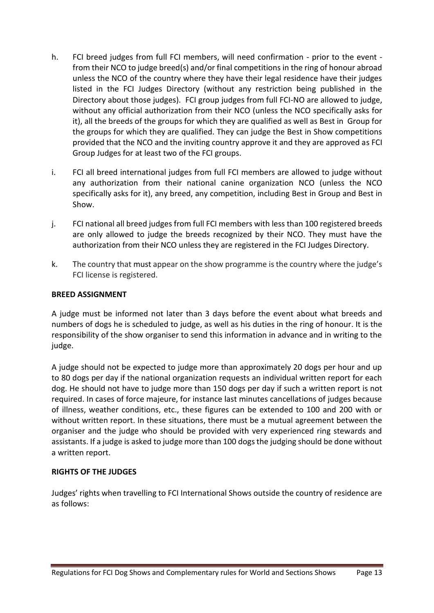- h. FCI breed judges from full FCI members, will need confirmation prior to the event from their NCO to judge breed(s) and/or final competitions in the ring of honour abroad unless the NCO of the country where they have their legal residence have their judges listed in the FCI Judges Directory (without any restriction being published in the Directory about those judges).FCI group judges from full FCI-NO are allowed to judge, without any official authorization from their NCO (unless the NCO specifically asks for it), all the breeds of the groups for which they are qualified as well as Best in Group for the groups for which they are qualified. They can judge the Best in Show competitions provided that the NCO and the inviting country approve it and they are approved as FCI Group Judges for at least two of the FCI groups.
- i. FCI all breed international judges from full FCI members are allowed to judge without any authorization from their national canine organization NCO (unless the NCO specifically asks for it), any breed, any competition, including Best in Group and Best in Show.
- j. FCI national all breed judges from full FCI members with less than 100 registered breeds are only allowed to judge the breeds recognized by their NCO. They must have the authorization from their NCO unless they are registered in the FCI Judges Directory.
- k. The country that must appear on the show programme is the country where the judge's FCI license is registered.

#### **BREED ASSIGNMENT**

A judge must be informed not later than 3 days before the event about what breeds and numbers of dogs he is scheduled to judge, as well as his duties in the ring of honour. It is the responsibility of the show organiser to send this information in advance and in writing to the judge.

A judge should not be expected to judge more than approximately 20 dogs per hour and up to 80 dogs per day if the national organization requests an individual written report for each dog. He should not have to judge more than 150 dogs per day if such a written report is not required. In cases of force majeure, for instance last minutes cancellations of judges because of illness, weather conditions, etc., these figures can be extended to 100 and 200 with or without written report. In these situations, there must be a mutual agreement between the organiser and the judge who should be provided with very experienced ring stewards and assistants. If a judge is asked to judge more than 100 dogs the judging should be done without a written report.

#### **RIGHTS OF THE JUDGES**

Judges' rights when travelling to FCI International Shows outside the country of residence are as follows: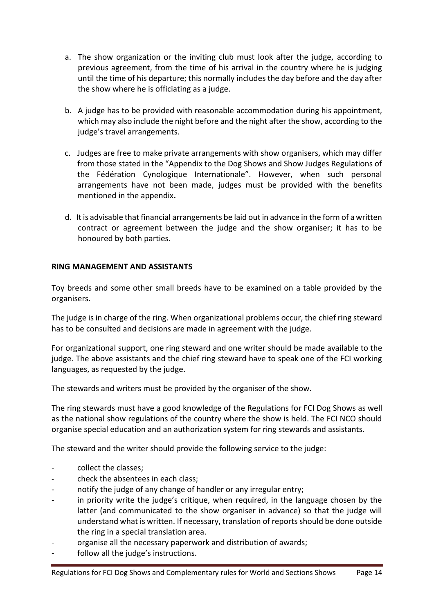- a. The show organization or the inviting club must look after the judge, according to previous agreement, from the time of his arrival in the country where he is judging until the time of his departure; this normally includes the day before and the day after the show where he is officiating as a judge.
- b*.* A judge has to be provided with reasonable accommodation during his appointment, which may also include the night before and the night after the show, according to the judge's travel arrangements.
- c. Judges are free to make private arrangements with show organisers, which may differ from those stated in the "Appendix to the Dog Shows and Show Judges Regulations of the Fédération Cynologique Internationale". However, when such personal arrangements have not been made, judges must be provided with the benefits mentioned in the appendix**.**
- d. It is advisable that financial arrangements be laid out in advance in the form of a written contract or agreement between the judge and the show organiser; it has to be honoured by both parties.

#### **RING MANAGEMENT AND ASSISTANTS**

Toy breeds and some other small breeds have to be examined on a table provided by the organisers.

The judge is in charge of the ring. When organizational problems occur, the chief ring steward has to be consulted and decisions are made in agreement with the judge.

For organizational support, one ring steward and one writer should be made available to the judge. The above assistants and the chief ring steward have to speak one of the FCI working languages, as requested by the judge.

The stewards and writers must be provided by the organiser of the show.

 The ring stewards must have a good knowledge of the Regulations for FCI Dog Shows as well as the national show regulations of the country where the show is held. The FCI NCO should organise special education and an authorization system for ring stewards and assistants.

The steward and the writer should provide the following service to the judge:

- collect the classes;
- check the absentees in each class;
- notify the judge of any change of handler or any irregular entry;
- in priority write the judge's critique, when required, in the language chosen by the latter (and communicated to the show organiser in advance) so that the judge will understand what is written. If necessary, translation of reports should be done outside the ring in a special translation area.
- organise all the necessary paperwork and distribution of awards;
- follow all the judge's instructions.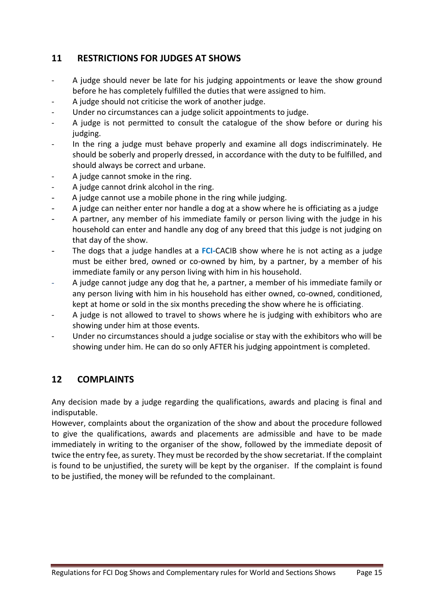### <span id="page-14-0"></span>**11 RESTRICTIONS FOR JUDGES AT SHOWS**

- A judge should never be late for his judging appointments or leave the show ground before he has completely fulfilled the duties that were assigned to him.
- A judge should not criticise the work of another judge.
- Under no circumstances can a judge solicit appointments to judge.
- A judge is not permitted to consult the catalogue of the show before or during his judging.
- In the ring a judge must behave properly and examine all dogs indiscriminately. He should be soberly and properly dressed, in accordance with the duty to be fulfilled, and should always be correct and urbane.
- A judge cannot smoke in the ring.
- A judge cannot drink alcohol in the ring.
- A judge cannot use a mobile phone in the ring while judging.
- A judge can neither enter nor handle a dog at a show where he is officiating as a judge
- A partner, any member of his immediate family or person living with the judge in his household can enter and handle any dog of any breed that this judge is not judging on that day of the show.
- The dogs that a judge handles at a **FCI**-CACIB show where he is not acting as a judge must be either bred, owned or co-owned by him, by a partner, by a member of his immediate family or any person living with him in his household.
- A judge cannot judge any dog that he, a partner, a member of his immediate family or any person living with him in his household has either owned, co-owned, conditioned, kept at home or sold in the six months preceding the show where he is officiating.
- A judge is not allowed to travel to shows where he is judging with exhibitors who are showing under him at those events.
- Under no circumstances should a judge socialise or stay with the exhibitors who will be showing under him. He can do so only AFTER his judging appointment is completed.

### <span id="page-14-1"></span>**12 COMPLAINTS**

Any decision made by a judge regarding the qualifications, awards and placing is final and indisputable.

However, complaints about the organization of the show and about the procedure followed to give the qualifications, awards and placements are admissible and have to be made immediately in writing to the organiser of the show, followed by the immediate deposit of twice the entry fee, as surety. They must be recorded by the show secretariat. If the complaint is found to be unjustified, the surety will be kept by the organiser. If the complaint is found to be justified, the money will be refunded to the complainant.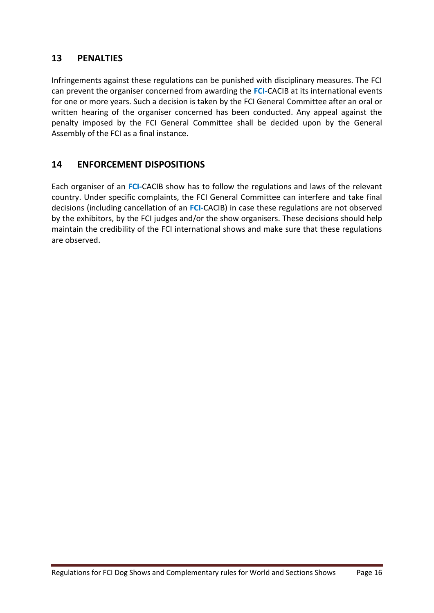### <span id="page-15-0"></span>**13 PENALTIES**

Infringements against these regulations can be punished with disciplinary measures. The FCI can prevent the organiser concerned from awarding the **FCI***-*CACIB at its international events for one or more years. Such a decision is taken by the FCI General Committee after an oral or written hearing of the organiser concerned has been conducted. Any appeal against the penalty imposed by the FCI General Committee shall be decided upon by the General Assembly of the FCI as a final instance.

### <span id="page-15-1"></span>**14 ENFORCEMENT DISPOSITIONS**

Each organiser of an **FCI***-*CACIB show has to follow the regulations and laws of the relevant country. Under specific complaints, the FCI General Committee can interfere and take final decisions (including cancellation of an **FCI***-*CACIB) in case these regulations are not observed by the exhibitors, by the FCI judges and/or the show organisers. These decisions should help maintain the credibility of the FCI international shows and make sure that these regulations are observed.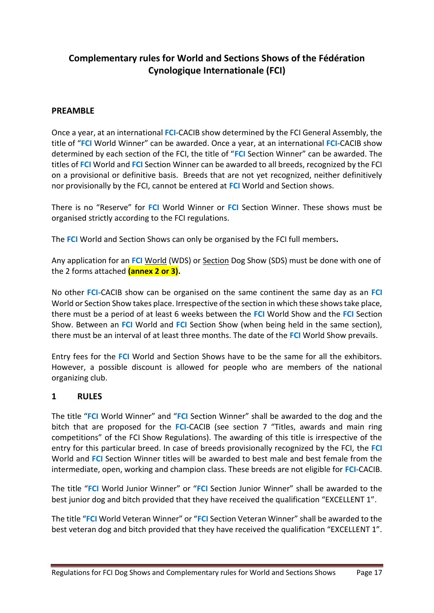### <span id="page-16-0"></span>**Complementary rules for World and Sections Shows of the Fédération Cynologique Internationale (FCI)**

#### <span id="page-16-1"></span>**PREAMBLE**

Once a year, at an international **FCI***-*CACIB show determined by the FCI General Assembly, the title of "**FCI** World Winner" can be awarded. Once a year, at an international **FCI***-*CACIB show determined by each section of the FCI, the title of "**FCI** Section Winner" can be awarded. The titles of **FCI** World and **FCI** Section Winner can be awarded to all breeds, recognized by the FCI on a provisional or definitive basis. Breeds that are not yet recognized, neither definitively nor provisionally by the FCI, cannot be entered at **FCI** World and Section shows.

There is no "Reserve" for **FCI** World Winner or **FCI** Section Winner. These shows must be organised strictly according to the FCI regulations.

The **FCI** World and Section Shows can only be organised by the FCI full members**.** 

Any application for an **FCI** World (WDS) or Section Dog Show (SDS) must be done with one of the 2 forms attached **(annex 2 or 3).**

No other **FCI***-*CACIB show can be organised on the same continent the same day as an **FCI** World or Section Show takes place. Irrespective of the section in which these shows take place, there must be a period of at least 6 weeks between the **FCI** World Show and the **FCI** Section Show. Between an **FCI** World and **FCI** Section Show (when being held in the same section), there must be an interval of at least three months. The date of the **FCI** World Show prevails.

Entry fees for the **FCI** World and Section Shows have to be the same for all the exhibitors. However, a possible discount is allowed for people who are members of the national organizing club.

### <span id="page-16-2"></span>**1 RULES**

The title "**FCI** World Winner" and "**FCI** Section Winner" shall be awarded to the dog and the bitch that are proposed for the **FCI***-*CACIB (see section 7 "Titles, awards and main ring competitions" of the FCI Show Regulations). The awarding of this title is irrespective of the entry for this particular breed. In case of breeds provisionally recognized by the FCI, the **FCI** World and **FCI** Section Winner titles will be awarded to best male and best female from the intermediate, open, working and champion class. These breeds are not eligible for **FCI***-*CACIB.

The title "**FCI** World Junior Winner" or "**FCI** Section Junior Winner" shall be awarded to the best junior dog and bitch provided that they have received the qualification "EXCELLENT 1".

The title "**FCI** World Veteran Winner" or "**FCI** Section Veteran Winner" shall be awarded to the best veteran dog and bitch provided that they have received the qualification "EXCELLENT 1".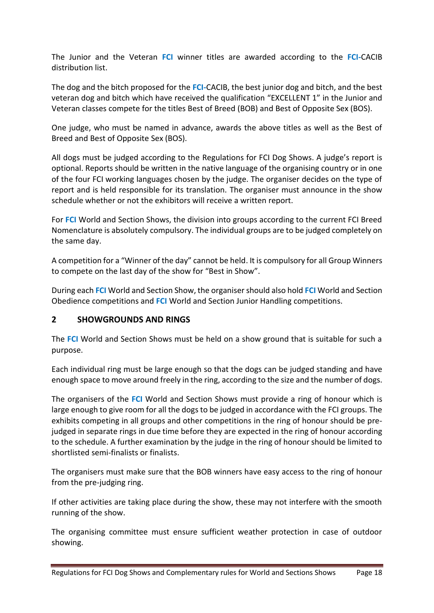The Junior and the Veteran **FCI** winner titles are awarded according to the **FCI***-*CACIB distribution list.

The dog and the bitch proposed for the **FCI***-*CACIB, the best junior dog and bitch, and the best veteran dog and bitch which have received the qualification "EXCELLENT 1" in the Junior and Veteran classes compete for the titles Best of Breed (BOB) and Best of Opposite Sex (BOS).

One judge, who must be named in advance, awards the above titles as well as the Best of Breed and Best of Opposite Sex (BOS).

All dogs must be judged according to the Regulations for FCI Dog Shows. A judge's report is optional. Reports should be written in the native language of the organising country or in one of the four FCI working languages chosen by the judge. The organiser decides on the type of report and is held responsible for its translation. The organiser must announce in the show schedule whether or not the exhibitors will receive a written report.

For **FCI** World and Section Shows, the division into groups according to the current FCI Breed Nomenclature is absolutely compulsory. The individual groups are to be judged completely on the same day.

A competition for a "Winner of the day" cannot be held. It is compulsory for all Group Winners to compete on the last day of the show for "Best in Show".

During each **FCI** World and Section Show, the organiser should also hold **FCI** World and Section Obedience competitions and **FCI** World and Section Junior Handling competitions.

#### <span id="page-17-0"></span>**2 SHOWGROUNDS AND RINGS**

The **FCI** World and Section Shows must be held on a show ground that is suitable for such a purpose.

Each individual ring must be large enough so that the dogs can be judged standing and have enough space to move around freely in the ring, according to the size and the number of dogs.

The organisers of the **FCI** World and Section Shows must provide a ring of honour which is large enough to give room for all the dogs to be judged in accordance with the FCI groups. The exhibits competing in all groups and other competitions in the ring of honour should be prejudged in separate rings in due time before they are expected in the ring of honour according to the schedule. A further examination by the judge in the ring of honour should be limited to shortlisted semi-finalists or finalists.

The organisers must make sure that the BOB winners have easy access to the ring of honour from the pre-judging ring.

If other activities are taking place during the show, these may not interfere with the smooth running of the show.

The organising committee must ensure sufficient weather protection in case of outdoor showing.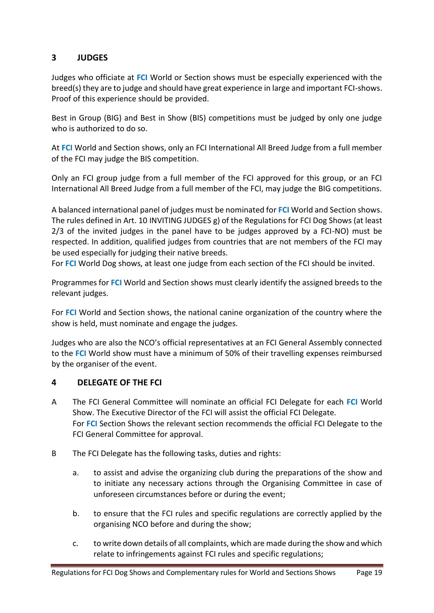### <span id="page-18-0"></span>**3 JUDGES**

Judges who officiate at **FCI** World or Section shows must be especially experienced with the breed(s) they are to judge and should have great experience in large and important FCI-shows. Proof of this experience should be provided.

Best in Group (BIG) and Best in Show (BIS) competitions must be judged by only one judge who is authorized to do so.

At **FCI** World and Section shows, only an FCI International All Breed Judge from a full member of the FCI may judge the BIS competition.

Only an FCI group judge from a full member of the FCI approved for this group, or an FCI International All Breed Judge from a full member of the FCI, may judge the BIG competitions.

A balanced international panel of judges must be nominated for **FCI** World and Section shows. The rules defined in Art. 10 INVITING JUDGES g) of the Regulations for FCI Dog Shows (at least 2/3 of the invited judges in the panel have to be judges approved by a FCI-NO) must be respected. In addition, qualified judges from countries that are not members of the FCI may be used especially for judging their native breeds.

For **FCI** World Dog shows, at least one judge from each section of the FCI should be invited.

Programmes for **FCI** World and Section shows must clearly identify the assigned breeds to the relevant judges.

For **FCI** World and Section shows, the national canine organization of the country where the show is held, must nominate and engage the judges.

Judges who are also the NCO's official representatives at an FCI General Assembly connected to the **FCI** World show must have a minimum of 50% of their travelling expenses reimbursed by the organiser of the event.

### <span id="page-18-1"></span>**4 DELEGATE OF THE FCI**

- A The FCI General Committee will nominate an official FCI Delegate for each **FCI** World Show. The Executive Director of the FCI will assist the official FCI Delegate. For **FCI** Section Shows the relevant section recommends the official FCI Delegate to the FCI General Committee for approval.
- B The FCI Delegate has the following tasks, duties and rights:
	- a. to assist and advise the organizing club during the preparations of the show and to initiate any necessary actions through the Organising Committee in case of unforeseen circumstances before or during the event;
	- b. to ensure that the FCI rules and specific regulations are correctly applied by the organising NCO before and during the show;
	- c. to write down details of all complaints, which are made during the show and which relate to infringements against FCI rules and specific regulations;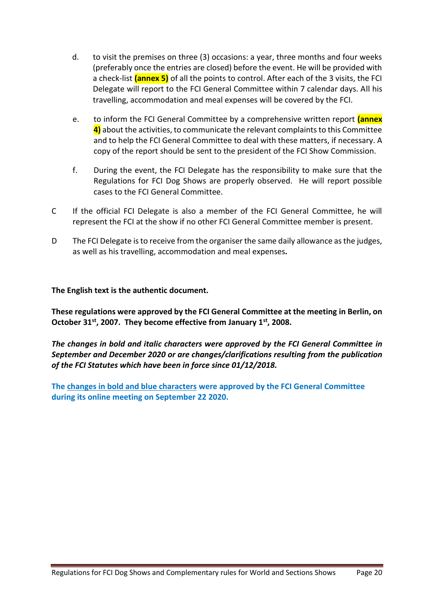- d. to visit the premises on three (3) occasions: a year, three months and four weeks (preferably once the entries are closed) before the event. He will be provided with a check-list **(annex 5)** of all the points to control. After each of the 3 visits, the FCI Delegate will report to the FCI General Committee within 7 calendar days. All his travelling, accommodation and meal expenses will be covered by the FCI.
- e. to inform the FCI General Committee by a comprehensive written report **(annex 4)** about the activities, to communicate the relevant complaints to this Committee and to help the FCI General Committee to deal with these matters, if necessary. A copy of the report should be sent to the president of the FCI Show Commission.
- f. During the event, the FCI Delegate has the responsibility to make sure that the Regulations for FCI Dog Shows are properly observed. He will report possible cases to the FCI General Committee.
- C If the official FCI Delegate is also a member of the FCI General Committee, he will represent the FCI at the show if no other FCI General Committee member is present.
- D The FCI Delegate isto receive from the organiser the same daily allowance as the judges, as well as his travelling, accommodation and meal expenses*.*

**The English text is the authentic document.**

**These regulations were approved by the FCI General Committee at the meeting in Berlin, on October 31st , 2007. They become effective from January 1st, 2008.** 

*The changes in bold and italic characters were approved by the FCI General Committee in September and December 2020 or are changes/clarifications resulting from the publication of the FCI Statutes which have been in force since 01/12/2018.*

**The changes in bold and blue characters were approved by the FCI General Committee during its online meeting on September 22 2020.**